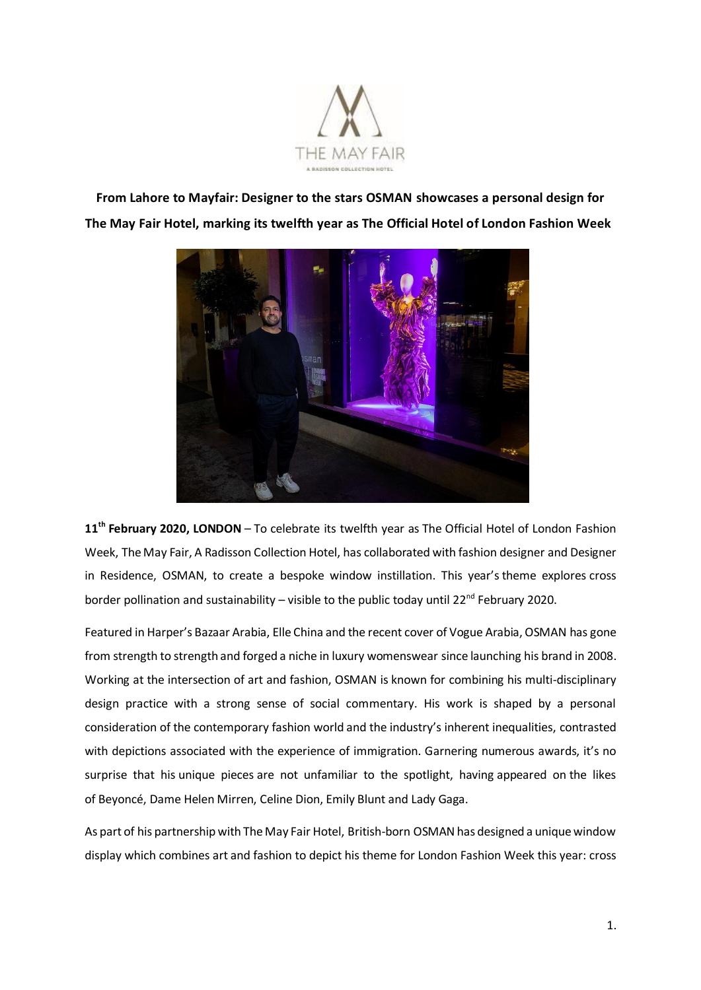

**From Lahore to Mayfair: Designer to the stars OSMAN showcases a personal design for The May Fair Hotel, marking its twelfth year as The Official Hotel of London Fashion Week**



**11th February 2020, LONDON** – To celebrate its twelfth year as The Official Hotel of London Fashion Week, The May Fair, A Radisson Collection Hotel, has collaborated with fashion designer and Designer in Residence, OSMAN, to create a bespoke window instillation. This year's theme explores cross border pollination and sustainability – visible to the public today until  $22^{nd}$  February 2020.

Featured in Harper's Bazaar Arabia, Elle China and the recent cover of Vogue Arabia, OSMAN has gone from strength to strength and forged a niche in luxury womenswear since launching his brand in 2008. Working at the intersection of art and fashion, OSMAN is known for combining his multi-disciplinary design practice with a strong sense of social commentary. His work is shaped by a personal consideration of the contemporary fashion world and the industry's inherent inequalities, contrasted with depictions associated with the experience of immigration. Garnering numerous awards, it's no surprise that his unique pieces are not unfamiliar to the spotlight, having appeared on the likes of Beyoncé, Dame Helen Mirren, Celine Dion, Emily Blunt and Lady Gaga.

As part of his partnership with The May Fair Hotel, British-born OSMAN has designed a unique window display which combines art and fashion to depict his theme for London Fashion Week this year: cross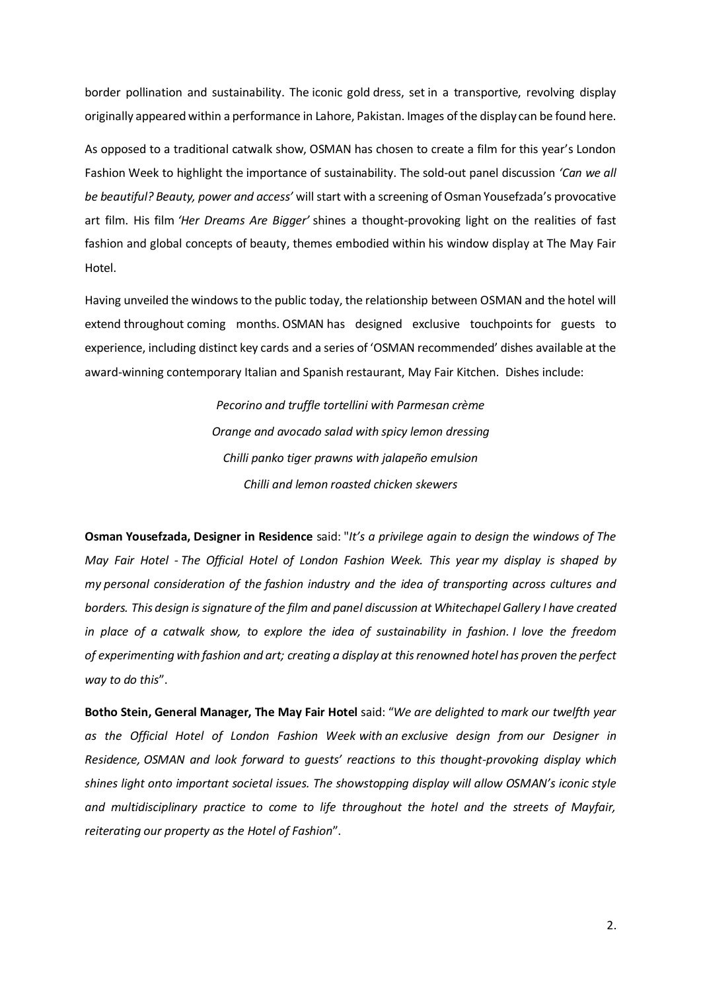border pollination and sustainability. The iconic gold dress, set in a transportive, revolving display originally appeared within a performance in Lahore, Pakistan. Images of the display can be found here.

As opposed to a traditional catwalk show, OSMAN has chosen to create a film for this year's London Fashion Week to highlight the importance of sustainability. The sold-out panel discussion *'Can we all be beautiful? Beauty, power and access'* will start with a screening of Osman Yousefzada's provocative art film. His film *'Her Dreams Are Bigger'* shines a thought-provoking light on the realities of fast fashion and global concepts of beauty, themes embodied within his window display at The May Fair Hotel.

Having unveiled the windows to the public today, the relationship between OSMAN and the hotel will extend throughout coming months. OSMAN has designed exclusive touchpoints for guests to experience, including distinct key cards and a series of 'OSMAN recommended' dishes available at the award-winning contemporary Italian and Spanish restaurant, May Fair Kitchen. Dishes include:

> *Pecorino and truffle tortellini with Parmesan crème Orange and avocado salad with spicy lemon dressing Chilli panko tiger prawns with jalapeño emulsion Chilli and lemon roasted chicken skewers*

**Osman Yousefzada, Designer in Residence** said: "*It's a privilege again to design the windows of The May Fair Hotel - The Official Hotel of London Fashion Week. This year my display is shaped by my personal consideration of the fashion industry and the idea of transporting across cultures and borders. This design is signature of the film and panel discussion at Whitechapel Gallery I have created in place of a catwalk show, to explore the idea of sustainability in fashion. I love the freedom of experimenting with fashion and art; creating a display at this renowned hotel has proven the perfect way to do this*".

**Botho Stein, General Manager, The May Fair Hotel** said: "*We are delighted to mark our twelfth year as the Official Hotel of London Fashion Week with an exclusive design from our Designer in Residence, OSMAN and look forward to guests' reactions to this thought-provoking display which shines light onto important societal issues. The showstopping display will allow OSMAN's iconic style and multidisciplinary practice to come to life throughout the hotel and the streets of Mayfair, reiterating our property as the Hotel of Fashion*".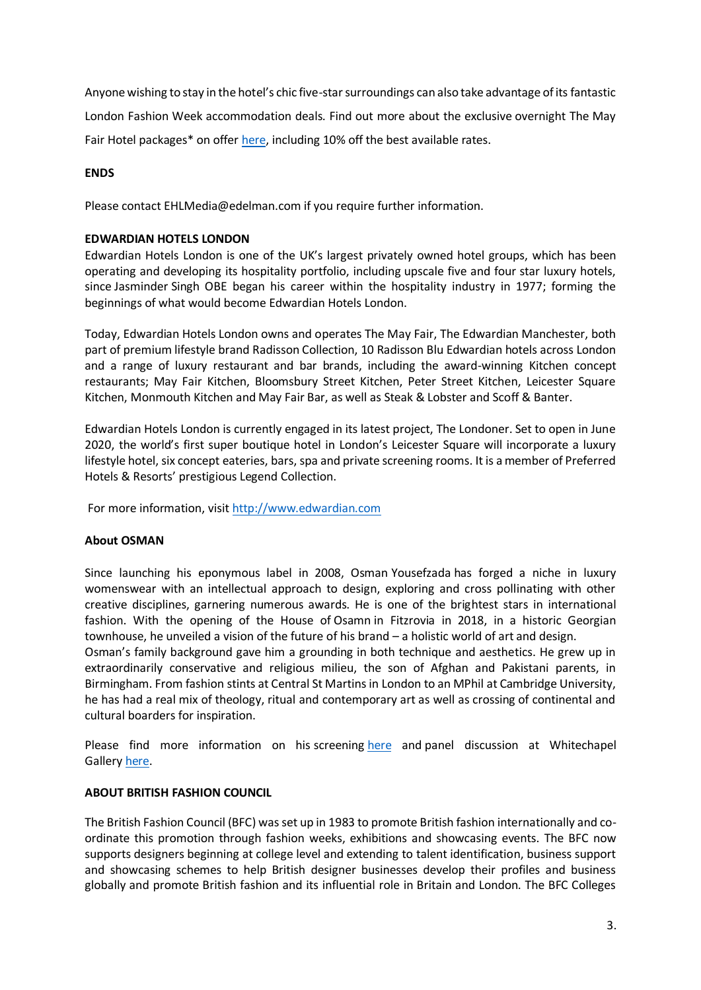Anyone wishing to stay in the hotel's chic five-star surroundings can also take advantage of its fantastic London Fashion Week accommodation deals. Find out more about the exclusive overnight The May Fair Hotel packages\* on offer [here,](https://www.themayfairhotel.co.uk/lfw) including 10% off the best available rates.

## **ENDS**

Please contact EHLMedia@edelman.com if you require further information.

## **EDWARDIAN HOTELS LONDON**

Edwardian Hotels London is one of the UK's largest privately owned hotel groups, which has been operating and developing its hospitality portfolio, including upscale five and four star luxury hotels, since Jasminder Singh OBE began his career within the hospitality industry in 1977; forming the beginnings of what would become Edwardian Hotels London.

Today, Edwardian Hotels London owns and operates The May Fair, The Edwardian Manchester, both part of premium lifestyle brand Radisson Collection, 10 Radisson Blu Edwardian hotels across London and a range of luxury restaurant and bar brands, including the award-winning Kitchen concept restaurants; May Fair Kitchen, Bloomsbury Street Kitchen, Peter Street Kitchen, Leicester Square Kitchen, Monmouth Kitchen and May Fair Bar, as well as Steak & Lobster and Scoff & Banter.

Edwardian Hotels London is currently engaged in its latest project, The Londoner. Set to open in June 2020, the world's first super boutique hotel in London's Leicester Square will incorporate a luxury lifestyle hotel, six concept eateries, bars, spa and private screening rooms. It is a member of Preferred Hotels & Resorts' prestigious Legend Collection.

For more information, visit [http://www.edwardian.com](https://nam05.safelinks.protection.outlook.com/?url=http%3A%2F%2Fwww.edwardian.com&data=02%7C01%7CLottie.Cooper%40edelman.com%7Cbfc7e98fd94347ee579a08d75d4ef034%7Cb824bfb3918e43c2bb1cdcc1ba40a82b%7C0%7C0%7C637080465983499065&sdata=12q0tu1Ta4ONODMu8xrn1FoepAjtjadUfoPzeKAmyB8%3D&reserved=0)

## **About OSMAN**

Since launching his eponymous label in 2008, Osman Yousefzada has forged a niche in luxury womenswear with an intellectual approach to design, exploring and cross pollinating with other creative disciplines, garnering numerous awards. He is one of the brightest stars in international fashion. With the opening of the House of Osamn in Fitzrovia in 2018, in a historic Georgian townhouse, he unveiled a vision of the future of his brand – a holistic world of art and design.

Osman's family background gave him a grounding in both technique and aesthetics. He grew up in extraordinarily conservative and religious milieu, the son of Afghan and Pakistani parents, in Birmingham. From fashion stints at Central St Martins in London to an MPhil at Cambridge University, he has had a real mix of theology, ritual and contemporary art as well as crossing of continental and cultural boarders for inspiration.

Please find more information on his [screening](https://www.whitechapelgallery.org/exhibitions/her-dreams-are-bigger/) [here](https://www.whitechapelgallery.org/exhibitions/her-dreams-are-bigger/) and [panel discussion](https://www.whitechapelgallery.org/events/can-beautiful-beauty-power-access/) at Whitechapel Gallery [here.](https://www.whitechapelgallery.org/events/can-beautiful-beauty-power-access/)

## **ABOUT BRITISH FASHION COUNCIL**

The British Fashion Council (BFC) was set up in 1983 to promote British fashion internationally and coordinate this promotion through fashion weeks, exhibitions and showcasing events. The BFC now supports designers beginning at college level and extending to talent identification, business support and showcasing schemes to help British designer businesses develop their profiles and business globally and promote British fashion and its influential role in Britain and London. The BFC Colleges